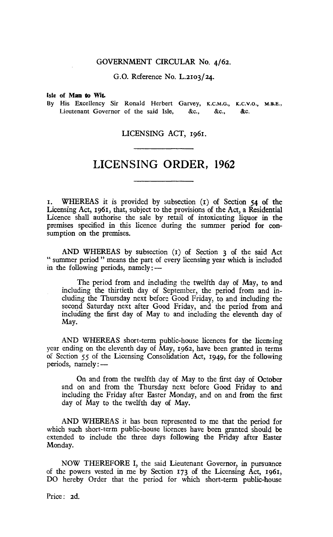#### GOVERNMENT CIRCULAR No. 4/62.

G.O. Reference No. L.2103/24.

#### Isle of **Man to Wit.**

By His Excellency Sir Ronald Herbert Garvey, K.C.M.G., **M.B.E.,**  Lieutenant Governor of the said Isle, &c., &c., &c.

### LICENSING ACT, 1961.

# LICENSING ORDER, 1962

1. WHEREAS it is provided by subsection (1) of Section 54 of the Licensing Act, 1961, that, subject to the provisions of the Act, a Residential Licence shall authorise the sale by retail of intoxicating liquor in the premises specified in this licence during the summer period for consumption on the premises.

AND WHEREAS by subsection (r) of Section 3 of the said Act " summer period " means the part of every licensing year which is included in the following periods, namely:—

The period from and including the twelfth day of May, to and including the thirtieth day of September, the period from and including the Thursday next before Good Friday, to and including the second Saturday next after Good Friday, and the period from and including the first day of May to and including the eleventh day of May.

AND WHEREAS short-term public-house licences for the licensing year ending on the eleventh day of May, 1962, have been granted in terms of Section 55 of the Licensing Consolidation Act, 1949, for the following periods, namely:—

On and from the twelfth day of May to the first day of October and on and from the Thursday next before Good Friday to and including the Friday after Easter Monday, and on and from the first day of May to the twelfth day of May.

AND WHEREAS it has been represented to me that the period for which such short-term public-house licences have been granted should be extended to include the three days following the Friday after Easter Monday.

NOW THEREFORE I, the said Lieutenant Governor, in pursuance of the powers vested in me by Section 173 of the Licensing Act, 1961, DO hereby Order that the period for which short-term public-house

Price: 2d.